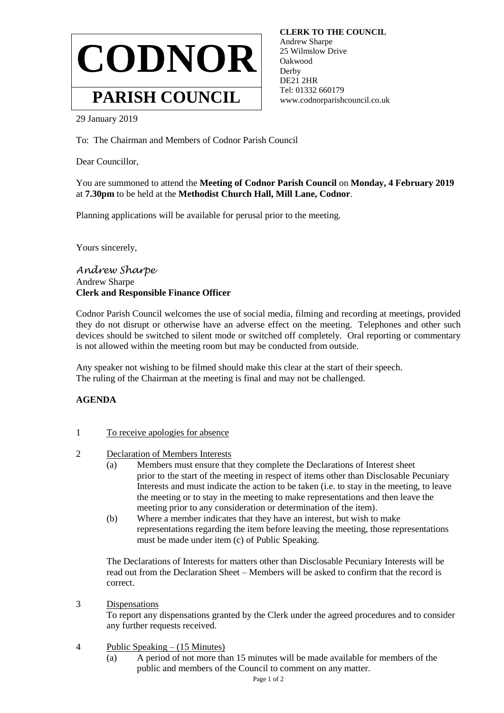

 **CLERK TO THE COUNCIL** Andrew Sharpe 25 Wilmslow Drive Oakwood Derby DE21 2HR Tel: 01332 660179 www.codnorparishcouncil.co.uk

29 January 2019

To: The Chairman and Members of Codnor Parish Council

Dear Councillor,

You are summoned to attend the **Meeting of Codnor Parish Council** on **Monday, 4 February 2019** at **7.30pm** to be held at the **Methodist Church Hall, Mill Lane, Codnor**.

Planning applications will be available for perusal prior to the meeting.

Yours sincerely,

*Andrew Sharpe* Andrew Sharpe **Clerk and Responsible Finance Officer**

Codnor Parish Council welcomes the use of social media, filming and recording at meetings, provided they do not disrupt or otherwise have an adverse effect on the meeting. Telephones and other such devices should be switched to silent mode or switched off completely. Oral reporting or commentary is not allowed within the meeting room but may be conducted from outside.

Any speaker not wishing to be filmed should make this clear at the start of their speech. The ruling of the Chairman at the meeting is final and may not be challenged.

## **AGENDA**

- 1 To receive apologies for absence
- 2 Declaration of Members Interests
	- (a) Members must ensure that they complete the Declarations of Interest sheet prior to the start of the meeting in respect of items other than Disclosable Pecuniary Interests and must indicate the action to be taken (i.e. to stay in the meeting, to leave the meeting or to stay in the meeting to make representations and then leave the meeting prior to any consideration or determination of the item).
	- (b) Where a member indicates that they have an interest, but wish to make representations regarding the item before leaving the meeting, those representations must be made under item (c) of Public Speaking.

The Declarations of Interests for matters other than Disclosable Pecuniary Interests will be read out from the Declaration Sheet – Members will be asked to confirm that the record is correct.

3 Dispensations

To report any dispensations granted by the Clerk under the agreed procedures and to consider any further requests received.

- 4 Public Speaking (15 Minutes)
	- (a) A period of not more than 15 minutes will be made available for members of the public and members of the Council to comment on any matter.